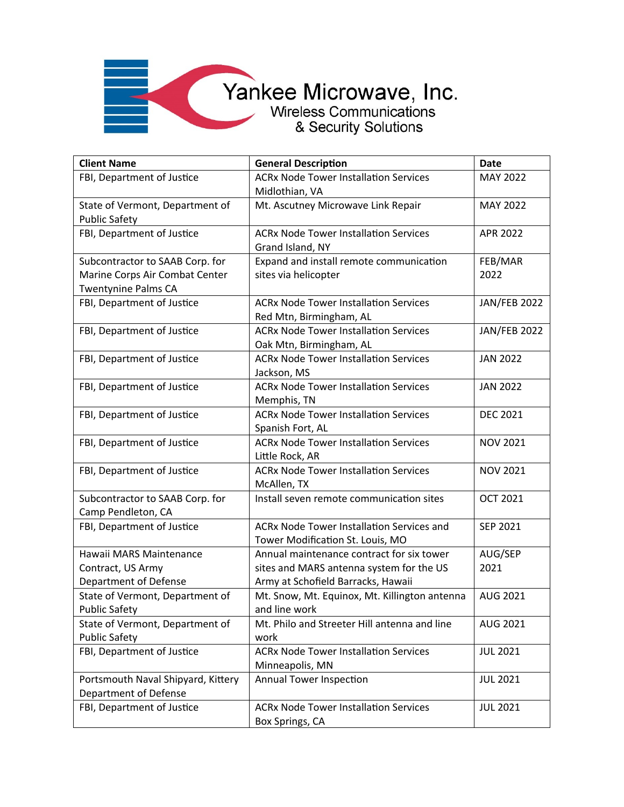| <b>Client Name</b>                 | <b>General Description</b>                       | <b>Date</b>         |
|------------------------------------|--------------------------------------------------|---------------------|
| FBI, Department of Justice         | <b>ACRx Node Tower Installation Services</b>     | <b>MAY 2022</b>     |
|                                    | Midlothian, VA                                   |                     |
| State of Vermont, Department of    | Mt. Ascutney Microwave Link Repair               | MAY 2022            |
| <b>Public Safety</b>               |                                                  |                     |
| FBI, Department of Justice         | <b>ACRx Node Tower Installation Services</b>     | APR 2022            |
|                                    | Grand Island, NY                                 |                     |
| Subcontractor to SAAB Corp. for    | Expand and install remote communication          | FEB/MAR             |
| Marine Corps Air Combat Center     | sites via helicopter                             | 2022                |
| <b>Twentynine Palms CA</b>         |                                                  |                     |
| FBI, Department of Justice         | <b>ACRx Node Tower Installation Services</b>     | <b>JAN/FEB 2022</b> |
|                                    | Red Mtn, Birmingham, AL                          |                     |
| FBI, Department of Justice         | <b>ACRx Node Tower Installation Services</b>     | <b>JAN/FEB 2022</b> |
|                                    | Oak Mtn, Birmingham, AL                          |                     |
| FBI, Department of Justice         | <b>ACRx Node Tower Installation Services</b>     | <b>JAN 2022</b>     |
|                                    | Jackson, MS                                      |                     |
| FBI, Department of Justice         | <b>ACRx Node Tower Installation Services</b>     | <b>JAN 2022</b>     |
|                                    | Memphis, TN                                      |                     |
| FBI, Department of Justice         | <b>ACRx Node Tower Installation Services</b>     | <b>DEC 2021</b>     |
|                                    | Spanish Fort, AL                                 |                     |
| FBI, Department of Justice         | <b>ACRx Node Tower Installation Services</b>     | <b>NOV 2021</b>     |
|                                    | Little Rock, AR                                  |                     |
| FBI, Department of Justice         | <b>ACRx Node Tower Installation Services</b>     | <b>NOV 2021</b>     |
|                                    | McAllen, TX                                      |                     |
| Subcontractor to SAAB Corp. for    | Install seven remote communication sites         | <b>OCT 2021</b>     |
| Camp Pendleton, CA                 |                                                  |                     |
| FBI, Department of Justice         | <b>ACRx Node Tower Installation Services and</b> | SEP 2021            |
|                                    | Tower Modification St. Louis, MO                 |                     |
| Hawaii MARS Maintenance            | Annual maintenance contract for six tower        | AUG/SEP             |
| Contract, US Army                  | sites and MARS antenna system for the US         | 2021                |
| Department of Defense              | Army at Schofield Barracks, Hawaii               |                     |
| State of Vermont, Department of    | Mt. Snow, Mt. Equinox, Mt. Killington antenna    | AUG 2021            |
| <b>Public Safety</b>               | and line work                                    |                     |
| State of Vermont, Department of    | Mt. Philo and Streeter Hill antenna and line     | AUG 2021            |
| <b>Public Safety</b>               | work                                             |                     |
| FBI, Department of Justice         | <b>ACRx Node Tower Installation Services</b>     | <b>JUL 2021</b>     |
|                                    | Minneapolis, MN                                  |                     |
| Portsmouth Naval Shipyard, Kittery | Annual Tower Inspection                          | <b>JUL 2021</b>     |
| Department of Defense              |                                                  |                     |
| FBI, Department of Justice         | <b>ACRx Node Tower Installation Services</b>     | <b>JUL 2021</b>     |
|                                    | Box Springs, CA                                  |                     |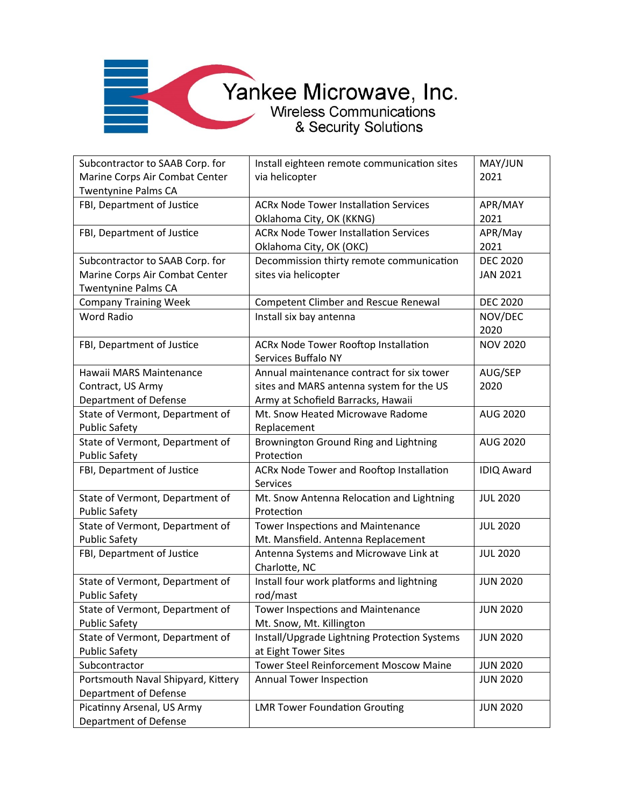#### Yankee Microwave, Inc.<br>Wireless Communications

| Subcontractor to SAAB Corp. for<br>Marine Corps Air Combat Center | Install eighteen remote communication sites<br>via helicopter      | MAY/JUN<br>2021   |
|-------------------------------------------------------------------|--------------------------------------------------------------------|-------------------|
| <b>Twentynine Palms CA</b>                                        |                                                                    |                   |
| FBI, Department of Justice                                        | <b>ACRx Node Tower Installation Services</b>                       | APR/MAY           |
|                                                                   | Oklahoma City, OK (KKNG)                                           | 2021              |
| FBI, Department of Justice                                        | <b>ACRx Node Tower Installation Services</b>                       | APR/May           |
|                                                                   | Oklahoma City, OK (OKC)                                            | 2021              |
| Subcontractor to SAAB Corp. for                                   | Decommission thirty remote communication                           | <b>DEC 2020</b>   |
| Marine Corps Air Combat Center                                    | sites via helicopter                                               | <b>JAN 2021</b>   |
| <b>Twentynine Palms CA</b>                                        |                                                                    |                   |
| <b>Company Training Week</b>                                      | <b>Competent Climber and Rescue Renewal</b>                        | <b>DEC 2020</b>   |
| <b>Word Radio</b>                                                 | Install six bay antenna                                            | NOV/DEC<br>2020   |
| FBI, Department of Justice                                        | <b>ACRx Node Tower Rooftop Installation</b><br>Services Buffalo NY | <b>NOV 2020</b>   |
| Hawaii MARS Maintenance                                           | Annual maintenance contract for six tower                          | AUG/SEP           |
| Contract, US Army                                                 | sites and MARS antenna system for the US                           | 2020              |
| Department of Defense                                             | Army at Schofield Barracks, Hawaii                                 |                   |
| State of Vermont, Department of                                   | Mt. Snow Heated Microwave Radome                                   | <b>AUG 2020</b>   |
| <b>Public Safety</b>                                              | Replacement                                                        |                   |
| State of Vermont, Department of                                   | Brownington Ground Ring and Lightning                              | AUG 2020          |
| <b>Public Safety</b>                                              | Protection                                                         |                   |
| FBI, Department of Justice                                        | ACRx Node Tower and Rooftop Installation<br><b>Services</b>        | <b>IDIQ Award</b> |
| State of Vermont, Department of<br><b>Public Safety</b>           | Mt. Snow Antenna Relocation and Lightning<br>Protection            | <b>JUL 2020</b>   |
| State of Vermont, Department of                                   | Tower Inspections and Maintenance                                  | <b>JUL 2020</b>   |
| <b>Public Safety</b>                                              | Mt. Mansfield. Antenna Replacement                                 |                   |
| FBI, Department of Justice                                        | Antenna Systems and Microwave Link at<br>Charlotte, NC             | <b>JUL 2020</b>   |
| State of Vermont, Department of                                   | Install four work platforms and lightning                          | <b>JUN 2020</b>   |
| <b>Public Safety</b>                                              | rod/mast                                                           |                   |
| State of Vermont, Department of                                   | <b>Tower Inspections and Maintenance</b>                           | <b>JUN 2020</b>   |
| <b>Public Safety</b>                                              | Mt. Snow, Mt. Killington                                           |                   |
| State of Vermont, Department of                                   | Install/Upgrade Lightning Protection Systems                       | <b>JUN 2020</b>   |
| <b>Public Safety</b>                                              | at Eight Tower Sites                                               |                   |
| Subcontractor                                                     | <b>Tower Steel Reinforcement Moscow Maine</b>                      | <b>JUN 2020</b>   |
| Portsmouth Naval Shipyard, Kittery                                | Annual Tower Inspection                                            | <b>JUN 2020</b>   |
| Department of Defense                                             |                                                                    |                   |
| Picatinny Arsenal, US Army                                        | <b>LMR Tower Foundation Grouting</b>                               | <b>JUN 2020</b>   |
| <b>Department of Defense</b>                                      |                                                                    |                   |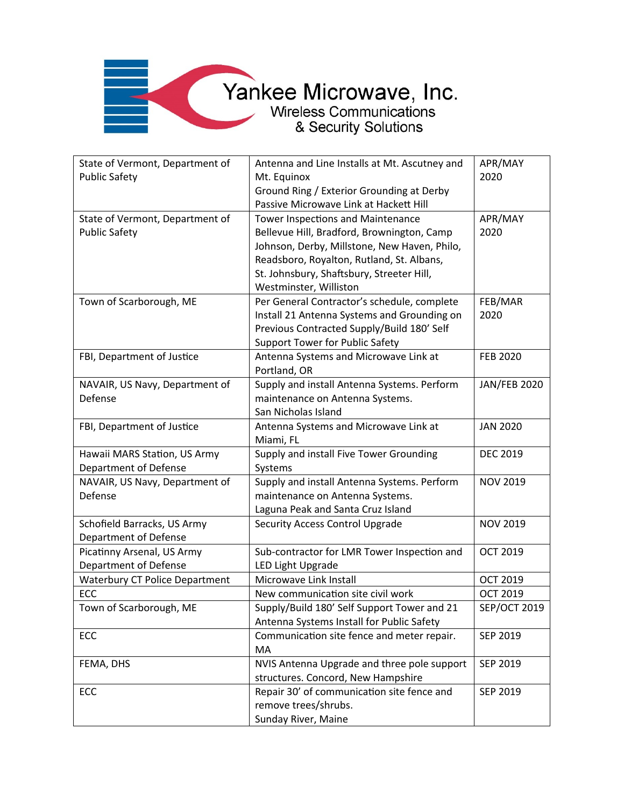**The Company of the Company** 

| State of Vermont, Department of       | Antenna and Line Installs at Mt. Ascutney and | APR/MAY             |
|---------------------------------------|-----------------------------------------------|---------------------|
| <b>Public Safety</b>                  | Mt. Equinox                                   | 2020                |
|                                       | Ground Ring / Exterior Grounding at Derby     |                     |
|                                       | Passive Microwave Link at Hackett Hill        |                     |
| State of Vermont, Department of       | Tower Inspections and Maintenance             | APR/MAY             |
| <b>Public Safety</b>                  | Bellevue Hill, Bradford, Brownington, Camp    | 2020                |
|                                       | Johnson, Derby, Millstone, New Haven, Philo,  |                     |
|                                       | Readsboro, Royalton, Rutland, St. Albans,     |                     |
|                                       | St. Johnsbury, Shaftsbury, Streeter Hill,     |                     |
|                                       | Westminster, Williston                        |                     |
| Town of Scarborough, ME               | Per General Contractor's schedule, complete   | FEB/MAR             |
|                                       | Install 21 Antenna Systems and Grounding on   | 2020                |
|                                       | Previous Contracted Supply/Build 180' Self    |                     |
|                                       | <b>Support Tower for Public Safety</b>        |                     |
| FBI, Department of Justice            | Antenna Systems and Microwave Link at         | <b>FEB 2020</b>     |
|                                       | Portland, OR                                  |                     |
| NAVAIR, US Navy, Department of        | Supply and install Antenna Systems. Perform   | <b>JAN/FEB 2020</b> |
| Defense                               | maintenance on Antenna Systems.               |                     |
|                                       | San Nicholas Island                           |                     |
| FBI, Department of Justice            | Antenna Systems and Microwave Link at         | <b>JAN 2020</b>     |
|                                       | Miami, FL                                     |                     |
| Hawaii MARS Station, US Army          | Supply and install Five Tower Grounding       | <b>DEC 2019</b>     |
| Department of Defense                 | Systems                                       |                     |
| NAVAIR, US Navy, Department of        | Supply and install Antenna Systems. Perform   | <b>NOV 2019</b>     |
| Defense                               | maintenance on Antenna Systems.               |                     |
|                                       | Laguna Peak and Santa Cruz Island             |                     |
| Schofield Barracks, US Army           | Security Access Control Upgrade               | <b>NOV 2019</b>     |
| Department of Defense                 |                                               |                     |
| Picatinny Arsenal, US Army            | Sub-contractor for LMR Tower Inspection and   | <b>OCT 2019</b>     |
| Department of Defense                 | <b>LED Light Upgrade</b>                      |                     |
| <b>Waterbury CT Police Department</b> | Microwave Link Install                        | <b>OCT 2019</b>     |
| ECC                                   | New communication site civil work             | <b>OCT 2019</b>     |
| Town of Scarborough, ME               | Supply/Build 180' Self Support Tower and 21   | <b>SEP/OCT 2019</b> |
|                                       | Antenna Systems Install for Public Safety     |                     |
| ECC                                   | Communication site fence and meter repair.    | SEP 2019            |
|                                       | MA                                            |                     |
| FEMA, DHS                             | NVIS Antenna Upgrade and three pole support   | SEP 2019            |
|                                       | structures. Concord, New Hampshire            |                     |
| ECC                                   | Repair 30' of communication site fence and    | SEP 2019            |
|                                       | remove trees/shrubs.                          |                     |
|                                       | Sunday River, Maine                           |                     |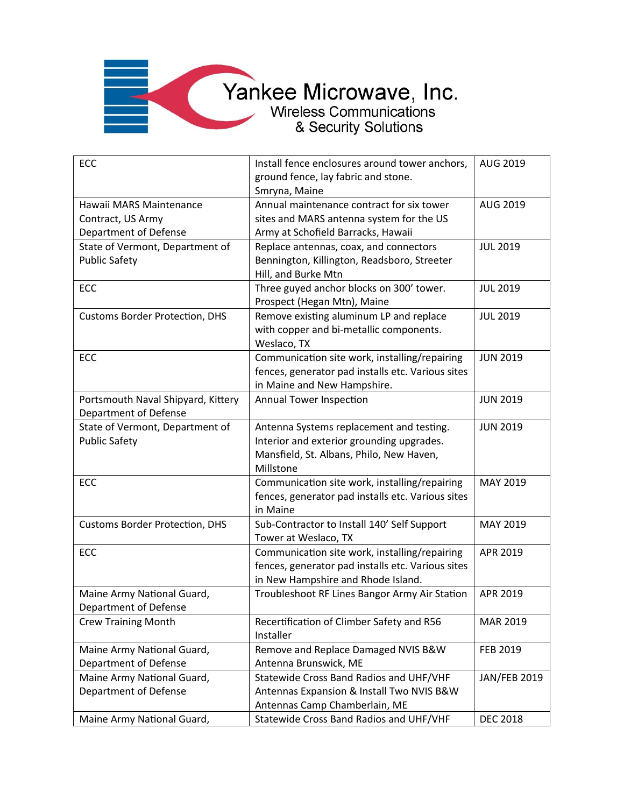

| ECC                                                                   | Install fence enclosures around tower anchors,<br>ground fence, lay fabric and stone.<br>Smryna, Maine                                         | AUG 2019            |
|-----------------------------------------------------------------------|------------------------------------------------------------------------------------------------------------------------------------------------|---------------------|
| Hawaii MARS Maintenance<br>Contract, US Army<br>Department of Defense | Annual maintenance contract for six tower<br>sites and MARS antenna system for the US<br>Army at Schofield Barracks, Hawaii                    | AUG 2019            |
| State of Vermont, Department of<br><b>Public Safety</b>               | Replace antennas, coax, and connectors<br>Bennington, Killington, Readsboro, Streeter<br>Hill, and Burke Mtn                                   | <b>JUL 2019</b>     |
| ECC                                                                   | Three guyed anchor blocks on 300' tower.<br>Prospect (Hegan Mtn), Maine                                                                        | <b>JUL 2019</b>     |
| <b>Customs Border Protection, DHS</b>                                 | Remove existing aluminum LP and replace<br>with copper and bi-metallic components.<br>Weslaco, TX                                              | <b>JUL 2019</b>     |
| ECC                                                                   | Communication site work, installing/repairing<br>fences, generator pad installs etc. Various sites<br>in Maine and New Hampshire.              | <b>JUN 2019</b>     |
| Portsmouth Naval Shipyard, Kittery<br>Department of Defense           | <b>Annual Tower Inspection</b>                                                                                                                 | <b>JUN 2019</b>     |
| State of Vermont, Department of<br><b>Public Safety</b>               | Antenna Systems replacement and testing.<br>Interior and exterior grounding upgrades.<br>Mansfield, St. Albans, Philo, New Haven,<br>Millstone | <b>JUN 2019</b>     |
| ECC                                                                   | Communication site work, installing/repairing<br>fences, generator pad installs etc. Various sites<br>in Maine                                 | MAY 2019            |
| <b>Customs Border Protection, DHS</b>                                 | Sub-Contractor to Install 140' Self Support<br>Tower at Weslaco, TX                                                                            | MAY 2019            |
| ECC                                                                   | Communication site work, installing/repairing<br>fences, generator pad installs etc. Various sites<br>in New Hampshire and Rhode Island.       | APR 2019            |
| Maine Army National Guard,<br>Department of Defense                   | Troubleshoot RF Lines Bangor Army Air Station                                                                                                  | APR 2019            |
| <b>Crew Training Month</b>                                            | Recertification of Climber Safety and R56<br>Installer                                                                                         | MAR 2019            |
| Maine Army National Guard,<br>Department of Defense                   | Remove and Replace Damaged NVIS B&W<br>Antenna Brunswick, ME                                                                                   | FEB 2019            |
| Maine Army National Guard,<br>Department of Defense                   | Statewide Cross Band Radios and UHF/VHF<br>Antennas Expansion & Install Two NVIS B&W<br>Antennas Camp Chamberlain, ME                          | <b>JAN/FEB 2019</b> |
| Maine Army National Guard,                                            | Statewide Cross Band Radios and UHF/VHF                                                                                                        | <b>DEC 2018</b>     |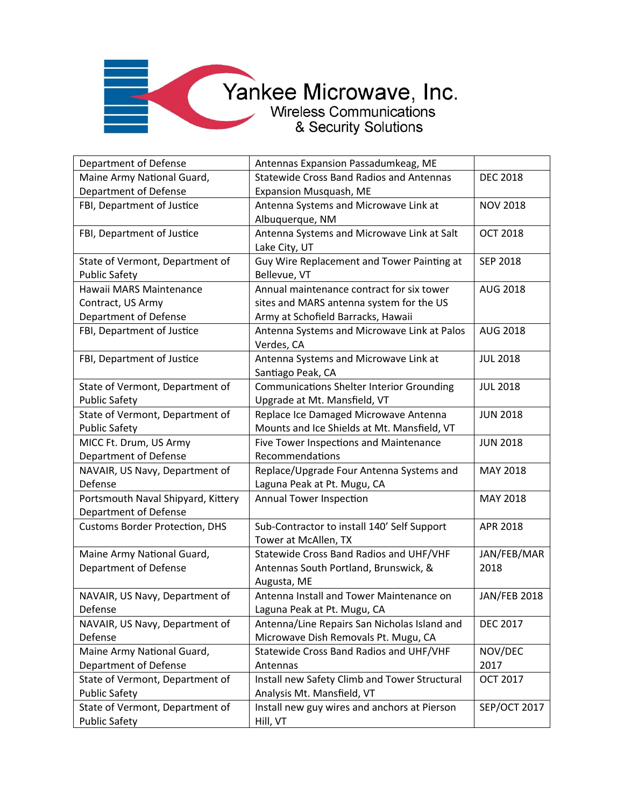| Department of Defense                 | Antennas Expansion Passadumkeag, ME              |                     |
|---------------------------------------|--------------------------------------------------|---------------------|
| Maine Army National Guard,            | <b>Statewide Cross Band Radios and Antennas</b>  | <b>DEC 2018</b>     |
| Department of Defense                 | Expansion Musquash, ME                           |                     |
| FBI, Department of Justice            | Antenna Systems and Microwave Link at            | <b>NOV 2018</b>     |
|                                       | Albuquerque, NM                                  |                     |
| FBI, Department of Justice            | Antenna Systems and Microwave Link at Salt       | <b>OCT 2018</b>     |
|                                       | Lake City, UT                                    |                     |
| State of Vermont, Department of       | Guy Wire Replacement and Tower Painting at       | <b>SEP 2018</b>     |
| <b>Public Safety</b>                  | Bellevue, VT                                     |                     |
| Hawaii MARS Maintenance               | Annual maintenance contract for six tower        | AUG 2018            |
| Contract, US Army                     | sites and MARS antenna system for the US         |                     |
| Department of Defense                 | Army at Schofield Barracks, Hawaii               |                     |
| FBI, Department of Justice            | Antenna Systems and Microwave Link at Palos      | <b>AUG 2018</b>     |
|                                       | Verdes, CA                                       |                     |
| FBI, Department of Justice            | Antenna Systems and Microwave Link at            | <b>JUL 2018</b>     |
|                                       | Santiago Peak, CA                                |                     |
| State of Vermont, Department of       | <b>Communications Shelter Interior Grounding</b> | <b>JUL 2018</b>     |
| <b>Public Safety</b>                  | Upgrade at Mt. Mansfield, VT                     |                     |
| State of Vermont, Department of       | Replace Ice Damaged Microwave Antenna            | <b>JUN 2018</b>     |
| <b>Public Safety</b>                  | Mounts and Ice Shields at Mt. Mansfield, VT      |                     |
| MICC Ft. Drum, US Army                | Five Tower Inspections and Maintenance           | <b>JUN 2018</b>     |
| Department of Defense                 | Recommendations                                  |                     |
| NAVAIR, US Navy, Department of        | Replace/Upgrade Four Antenna Systems and         | MAY 2018            |
| Defense                               | Laguna Peak at Pt. Mugu, CA                      |                     |
| Portsmouth Naval Shipyard, Kittery    | Annual Tower Inspection                          | MAY 2018            |
| Department of Defense                 |                                                  |                     |
| <b>Customs Border Protection, DHS</b> | Sub-Contractor to install 140' Self Support      | APR 2018            |
|                                       | Tower at McAllen, TX                             |                     |
| Maine Army National Guard,            | Statewide Cross Band Radios and UHF/VHF          | JAN/FEB/MAR         |
| Department of Defense                 | Antennas South Portland, Brunswick, &            | 2018                |
|                                       | Augusta, ME                                      |                     |
| NAVAIR, US Navy, Department of        | Antenna Install and Tower Maintenance on         | <b>JAN/FEB 2018</b> |
| Defense                               | Laguna Peak at Pt. Mugu, CA                      |                     |
| NAVAIR, US Navy, Department of        | Antenna/Line Repairs San Nicholas Island and     | <b>DEC 2017</b>     |
| Defense                               | Microwave Dish Removals Pt. Mugu, CA             |                     |
| Maine Army National Guard,            | Statewide Cross Band Radios and UHF/VHF          | NOV/DEC             |
| Department of Defense                 | Antennas                                         | 2017                |
| State of Vermont, Department of       | Install new Safety Climb and Tower Structural    | <b>OCT 2017</b>     |
| <b>Public Safety</b>                  | Analysis Mt. Mansfield, VT                       |                     |
| State of Vermont, Department of       | Install new guy wires and anchors at Pierson     | <b>SEP/OCT 2017</b> |
| <b>Public Safety</b>                  | Hill, VT                                         |                     |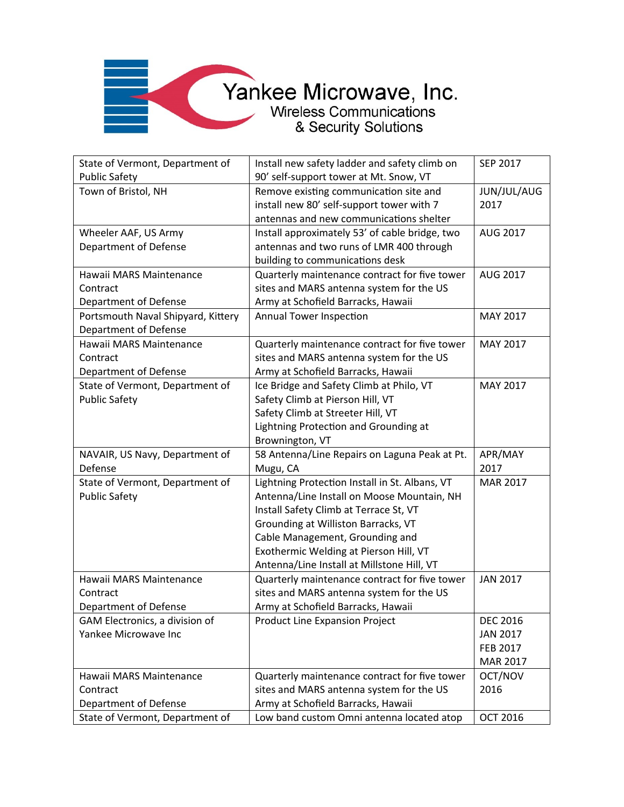| State of Vermont, Department of    | Install new safety ladder and safety climb on  | SEP 2017        |
|------------------------------------|------------------------------------------------|-----------------|
| <b>Public Safety</b>               | 90' self-support tower at Mt. Snow, VT         |                 |
| Town of Bristol, NH                | Remove existing communication site and         | JUN/JUL/AUG     |
|                                    | install new 80' self-support tower with 7      | 2017            |
|                                    | antennas and new communications shelter        |                 |
| Wheeler AAF, US Army               | Install approximately 53' of cable bridge, two | AUG 2017        |
| Department of Defense              | antennas and two runs of LMR 400 through       |                 |
|                                    | building to communications desk                |                 |
| Hawaii MARS Maintenance            | Quarterly maintenance contract for five tower  | AUG 2017        |
| Contract                           | sites and MARS antenna system for the US       |                 |
| Department of Defense              | Army at Schofield Barracks, Hawaii             |                 |
| Portsmouth Naval Shipyard, Kittery | Annual Tower Inspection                        | MAY 2017        |
| Department of Defense              |                                                |                 |
| Hawaii MARS Maintenance            | Quarterly maintenance contract for five tower  | MAY 2017        |
| Contract                           | sites and MARS antenna system for the US       |                 |
| Department of Defense              | Army at Schofield Barracks, Hawaii             |                 |
| State of Vermont, Department of    | Ice Bridge and Safety Climb at Philo, VT       | MAY 2017        |
| <b>Public Safety</b>               | Safety Climb at Pierson Hill, VT               |                 |
|                                    | Safety Climb at Streeter Hill, VT              |                 |
|                                    | Lightning Protection and Grounding at          |                 |
|                                    | Brownington, VT                                |                 |
| NAVAIR, US Navy, Department of     | 58 Antenna/Line Repairs on Laguna Peak at Pt.  | APR/MAY         |
| Defense                            | Mugu, CA                                       | 2017            |
| State of Vermont, Department of    | Lightning Protection Install in St. Albans, VT | MAR 2017        |
| <b>Public Safety</b>               | Antenna/Line Install on Moose Mountain, NH     |                 |
|                                    | Install Safety Climb at Terrace St, VT         |                 |
|                                    | Grounding at Williston Barracks, VT            |                 |
|                                    | Cable Management, Grounding and                |                 |
|                                    | Exothermic Welding at Pierson Hill, VT         |                 |
|                                    | Antenna/Line Install at Millstone Hill, VT     |                 |
| Hawaii MARS Maintenance            | Quarterly maintenance contract for five tower  | <b>JAN 2017</b> |
| Contract                           | sites and MARS antenna system for the US       |                 |
| Department of Defense              | Army at Schofield Barracks, Hawaii             |                 |
| GAM Electronics, a division of     | Product Line Expansion Project                 | <b>DEC 2016</b> |
| Yankee Microwave Inc               |                                                | <b>JAN 2017</b> |
|                                    |                                                | FEB 2017        |
|                                    |                                                | MAR 2017        |
| Hawaii MARS Maintenance            | Quarterly maintenance contract for five tower  | OCT/NOV         |
| Contract                           | sites and MARS antenna system for the US       | 2016            |
| Department of Defense              | Army at Schofield Barracks, Hawaii             |                 |
| State of Vermont, Department of    | Low band custom Omni antenna located atop      | OCT 2016        |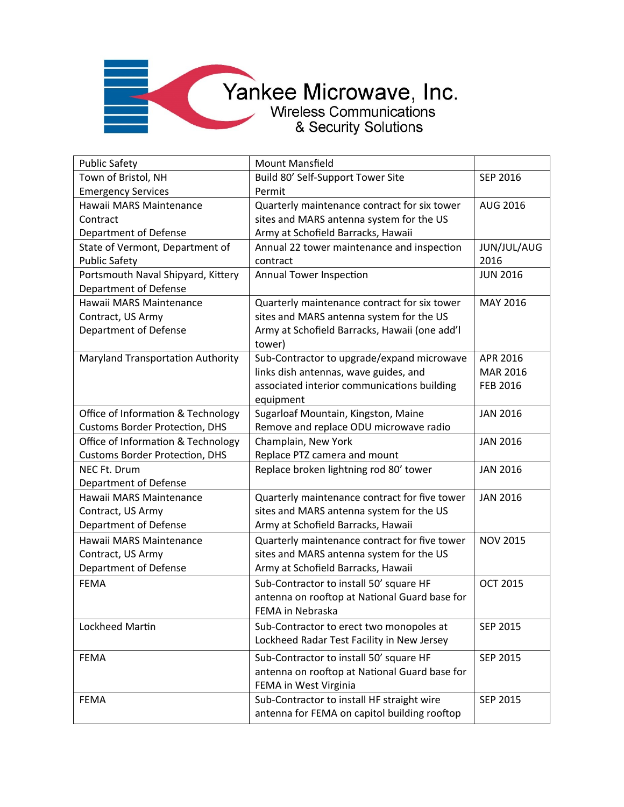| <b>Public Safety</b>                  | <b>Mount Mansfield</b>                        |                 |
|---------------------------------------|-----------------------------------------------|-----------------|
| Town of Bristol, NH                   | Build 80' Self-Support Tower Site             | SEP 2016        |
| <b>Emergency Services</b>             | Permit                                        |                 |
| Hawaii MARS Maintenance               | Quarterly maintenance contract for six tower  | AUG 2016        |
| Contract                              | sites and MARS antenna system for the US      |                 |
| Department of Defense                 | Army at Schofield Barracks, Hawaii            |                 |
| State of Vermont, Department of       | Annual 22 tower maintenance and inspection    | JUN/JUL/AUG     |
| <b>Public Safety</b>                  | contract                                      | 2016            |
| Portsmouth Naval Shipyard, Kittery    | Annual Tower Inspection                       | <b>JUN 2016</b> |
| Department of Defense                 |                                               |                 |
| Hawaii MARS Maintenance               | Quarterly maintenance contract for six tower  | MAY 2016        |
| Contract, US Army                     | sites and MARS antenna system for the US      |                 |
| Department of Defense                 | Army at Schofield Barracks, Hawaii (one add'l |                 |
|                                       | tower)                                        |                 |
| Maryland Transportation Authority     | Sub-Contractor to upgrade/expand microwave    | APR 2016        |
|                                       | links dish antennas, wave guides, and         | MAR 2016        |
|                                       | associated interior communications building   | <b>FEB 2016</b> |
|                                       | equipment                                     |                 |
| Office of Information & Technology    | Sugarloaf Mountain, Kingston, Maine           | <b>JAN 2016</b> |
| <b>Customs Border Protection, DHS</b> | Remove and replace ODU microwave radio        |                 |
| Office of Information & Technology    | Champlain, New York                           | <b>JAN 2016</b> |
| <b>Customs Border Protection, DHS</b> | Replace PTZ camera and mount                  |                 |
| NEC Ft. Drum                          | Replace broken lightning rod 80' tower        | <b>JAN 2016</b> |
| Department of Defense                 |                                               |                 |
| Hawaii MARS Maintenance               | Quarterly maintenance contract for five tower | <b>JAN 2016</b> |
| Contract, US Army                     | sites and MARS antenna system for the US      |                 |
| Department of Defense                 | Army at Schofield Barracks, Hawaii            |                 |
| Hawaii MARS Maintenance               | Quarterly maintenance contract for five tower | <b>NOV 2015</b> |
| Contract, US Army                     | sites and MARS antenna system for the US      |                 |
| Department of Defense                 | Army at Schofield Barracks, Hawaii            |                 |
| <b>FEMA</b>                           | Sub-Contractor to install 50' square HF       | <b>OCT 2015</b> |
|                                       | antenna on rooftop at National Guard base for |                 |
|                                       | FEMA in Nebraska                              |                 |
| Lockheed Martin                       | Sub-Contractor to erect two monopoles at      | SEP 2015        |
|                                       | Lockheed Radar Test Facility in New Jersey    |                 |
| <b>FEMA</b>                           | Sub-Contractor to install 50' square HF       | SEP 2015        |
|                                       | antenna on rooftop at National Guard base for |                 |
|                                       | FEMA in West Virginia                         |                 |
| <b>FEMA</b>                           | Sub-Contractor to install HF straight wire    | SEP 2015        |
|                                       | antenna for FEMA on capitol building rooftop  |                 |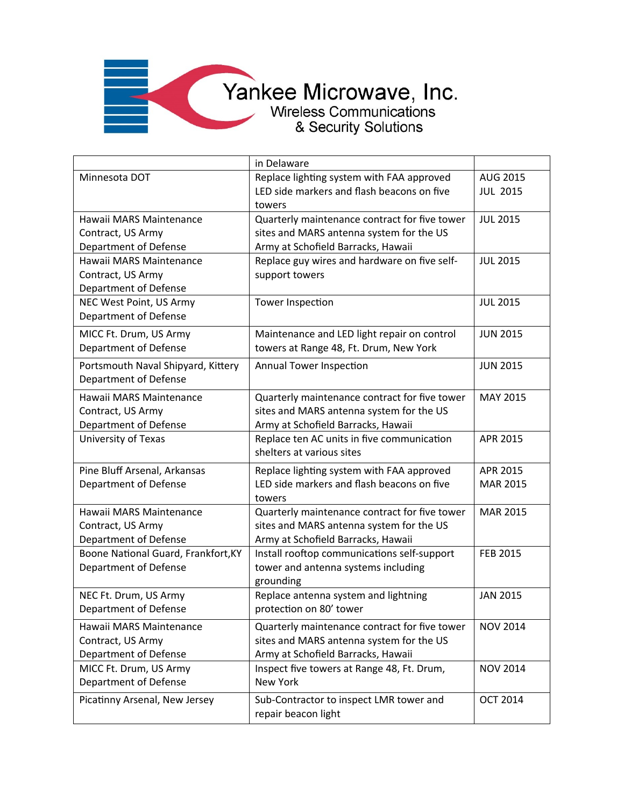|                                     | in Delaware                                          |                 |
|-------------------------------------|------------------------------------------------------|-----------------|
| Minnesota DOT                       | Replace lighting system with FAA approved            | AUG 2015        |
|                                     | LED side markers and flash beacons on five<br>towers | <b>JUL 2015</b> |
| Hawaii MARS Maintenance             | Quarterly maintenance contract for five tower        | <b>JUL 2015</b> |
| Contract, US Army                   | sites and MARS antenna system for the US             |                 |
| Department of Defense               | Army at Schofield Barracks, Hawaii                   |                 |
| Hawaii MARS Maintenance             | Replace guy wires and hardware on five self-         | <b>JUL 2015</b> |
| Contract, US Army                   | support towers                                       |                 |
| <b>Department of Defense</b>        |                                                      |                 |
| NEC West Point, US Army             | <b>Tower Inspection</b>                              | <b>JUL 2015</b> |
| Department of Defense               |                                                      |                 |
| MICC Ft. Drum, US Army              | Maintenance and LED light repair on control          | <b>JUN 2015</b> |
| <b>Department of Defense</b>        | towers at Range 48, Ft. Drum, New York               |                 |
| Portsmouth Naval Shipyard, Kittery  | Annual Tower Inspection                              | <b>JUN 2015</b> |
| Department of Defense               |                                                      |                 |
| Hawaii MARS Maintenance             | Quarterly maintenance contract for five tower        | MAY 2015        |
| Contract, US Army                   | sites and MARS antenna system for the US             |                 |
| Department of Defense               | Army at Schofield Barracks, Hawaii                   |                 |
| University of Texas                 | Replace ten AC units in five communication           | APR 2015        |
|                                     | shelters at various sites                            |                 |
| Pine Bluff Arsenal, Arkansas        | Replace lighting system with FAA approved            | APR 2015        |
| Department of Defense               | LED side markers and flash beacons on five           | MAR 2015        |
|                                     | towers                                               |                 |
| Hawaii MARS Maintenance             | Quarterly maintenance contract for five tower        | MAR 2015        |
| Contract, US Army                   | sites and MARS antenna system for the US             |                 |
| Department of Defense               | Army at Schofield Barracks, Hawaii                   |                 |
| Boone National Guard, Frankfort, KY | Install rooftop communications self-support          | FEB 2015        |
| <b>Department of Defense</b>        | tower and antenna systems including                  |                 |
|                                     | grounding                                            |                 |
| NEC Ft. Drum, US Army               | Replace antenna system and lightning                 | <b>JAN 2015</b> |
| Department of Defense               | protection on 80' tower                              |                 |
| Hawaii MARS Maintenance             | Quarterly maintenance contract for five tower        | <b>NOV 2014</b> |
| Contract, US Army                   | sites and MARS antenna system for the US             |                 |
| Department of Defense               | Army at Schofield Barracks, Hawaii                   |                 |
| MICC Ft. Drum, US Army              | Inspect five towers at Range 48, Ft. Drum,           | <b>NOV 2014</b> |
| Department of Defense               | New York                                             |                 |
| Picatinny Arsenal, New Jersey       | Sub-Contractor to inspect LMR tower and              | <b>OCT 2014</b> |
|                                     | repair beacon light                                  |                 |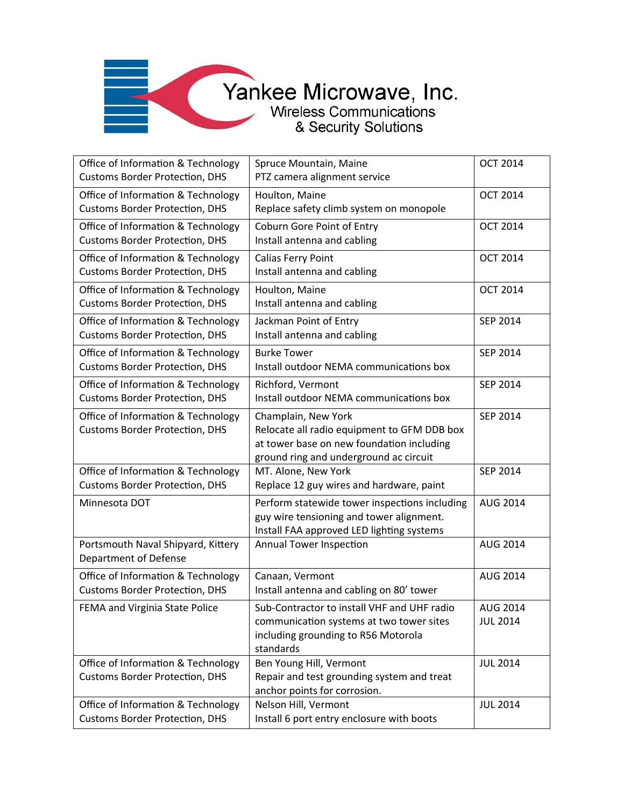| Office of Information & Technology<br><b>Customs Border Protection, DHS</b> | Spruce Mountain, Maine<br>PTZ camera alignment service                                                                                                    | <b>OCT 2014</b>                    |
|-----------------------------------------------------------------------------|-----------------------------------------------------------------------------------------------------------------------------------------------------------|------------------------------------|
| Office of Information & Technology<br><b>Customs Border Protection, DHS</b> | Houlton, Maine<br>Replace safety climb system on monopole                                                                                                 | <b>OCT 2014</b>                    |
| Office of Information & Technology<br><b>Customs Border Protection, DHS</b> | Coburn Gore Point of Entry<br>Install antenna and cabling                                                                                                 | <b>OCT 2014</b>                    |
| Office of Information & Technology<br><b>Customs Border Protection, DHS</b> | <b>Calias Ferry Point</b><br>Install antenna and cabling                                                                                                  | <b>OCT 2014</b>                    |
| Office of Information & Technology<br><b>Customs Border Protection, DHS</b> | Houlton, Maine<br>Install antenna and cabling                                                                                                             | <b>OCT 2014</b>                    |
| Office of Information & Technology<br><b>Customs Border Protection, DHS</b> | Jackman Point of Entry<br>Install antenna and cabling                                                                                                     | SEP 2014                           |
| Office of Information & Technology<br><b>Customs Border Protection, DHS</b> | <b>Burke Tower</b><br>Install outdoor NEMA communications box                                                                                             | SEP 2014                           |
| Office of Information & Technology<br><b>Customs Border Protection, DHS</b> | Richford, Vermont<br>Install outdoor NEMA communications box                                                                                              | SEP 2014                           |
| Office of Information & Technology<br><b>Customs Border Protection, DHS</b> | Champlain, New York<br>Relocate all radio equipment to GFM DDB box<br>at tower base on new foundation including<br>ground ring and underground ac circuit | SEP 2014                           |
| Office of Information & Technology<br><b>Customs Border Protection, DHS</b> | MT. Alone, New York<br>Replace 12 guy wires and hardware, paint                                                                                           | SEP 2014                           |
| Minnesota DOT                                                               | Perform statewide tower inspections including<br>guy wire tensioning and tower alignment.<br>Install FAA approved LED lighting systems                    | <b>AUG 2014</b>                    |
| Portsmouth Naval Shipyard, Kittery<br><b>Department of Defense</b>          | <b>Annual Tower Inspection</b>                                                                                                                            | <b>AUG 2014</b>                    |
| Office of Information & Technology<br><b>Customs Border Protection, DHS</b> | Canaan, Vermont<br>Install antenna and cabling on 80' tower                                                                                               | <b>AUG 2014</b>                    |
| FEMA and Virginia State Police                                              | Sub-Contractor to install VHF and UHF radio<br>communication systems at two tower sites<br>including grounding to R56 Motorola<br>standards               | <b>AUG 2014</b><br><b>JUL 2014</b> |
| Office of Information & Technology<br><b>Customs Border Protection, DHS</b> | Ben Young Hill, Vermont<br>Repair and test grounding system and treat<br>anchor points for corrosion.                                                     | <b>JUL 2014</b>                    |
| Office of Information & Technology<br><b>Customs Border Protection, DHS</b> | Nelson Hill, Vermont<br>Install 6 port entry enclosure with boots                                                                                         | <b>JUL 2014</b>                    |